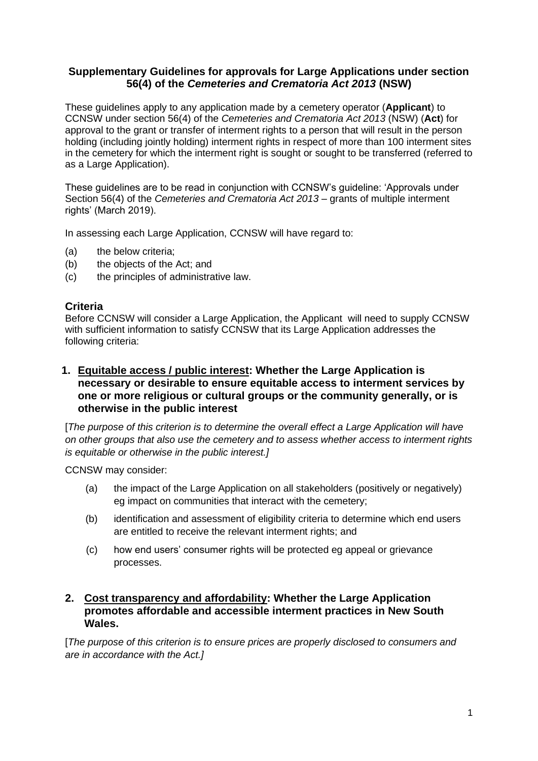# **Supplementary Guidelines for approvals for Large Applications under section 56(4) of the** *Cemeteries and Crematoria Act 2013* **(NSW)**

These guidelines apply to any application made by a cemetery operator (**Applicant**) to CCNSW under section 56(4) of the *Cemeteries and Crematoria Act 2013* (NSW) (**Act**) for approval to the grant or transfer of interment rights to a person that will result in the person holding (including jointly holding) interment rights in respect of more than 100 interment sites in the cemetery for which the interment right is sought or sought to be transferred (referred to as a Large Application).

These guidelines are to be read in conjunction with CCNSW's guideline: 'Approvals under Section 56(4) of the *Cemeteries and Crematoria Act 2013* – grants of multiple interment rights' (March 2019).

In assessing each Large Application, CCNSW will have regard to:

- (a) the below criteria;
- (b) the objects of the Act; and
- (c) the principles of administrative law.

## **Criteria**

Before CCNSW will consider a Large Application, the Applicant will need to supply CCNSW with sufficient information to satisfy CCNSW that its Large Application addresses the following criteria:

**1. Equitable access / public interest: Whether the Large Application is necessary or desirable to ensure equitable access to interment services by one or more religious or cultural groups or the community generally, or is otherwise in the public interest**

[*The purpose of this criterion is to determine the overall effect a Large Application will have on other groups that also use the cemetery and to assess whether access to interment rights is equitable or otherwise in the public interest.]*

CCNSW may consider:

- (a) the impact of the Large Application on all stakeholders (positively or negatively) eg impact on communities that interact with the cemetery;
- (b) identification and assessment of eligibility criteria to determine which end users are entitled to receive the relevant interment rights; and
- (c) how end users' consumer rights will be protected eg appeal or grievance processes.

# **2. Cost transparency and affordability: Whether the Large Application promotes affordable and accessible interment practices in New South Wales.**

[*The purpose of this criterion is to ensure prices are properly disclosed to consumers and are in accordance with the Act.]*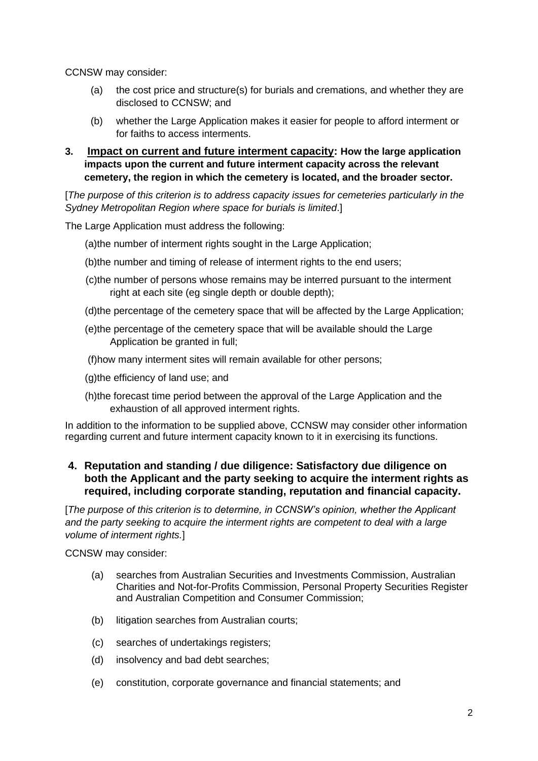CCNSW may consider:

- (a) the cost price and structure(s) for burials and cremations, and whether they are disclosed to CCNSW; and
- (b) whether the Large Application makes it easier for people to afford interment or for faiths to access interments.
- **3. Impact on current and future interment capacity: How the large application impacts upon the current and future interment capacity across the relevant cemetery, the region in which the cemetery is located, and the broader sector.**

[*The purpose of this criterion is to address capacity issues for cemeteries particularly in the Sydney Metropolitan Region where space for burials is limited*.]

The Large Application must address the following:

(a)the number of interment rights sought in the Large Application;

- (b)the number and timing of release of interment rights to the end users;
- (c)the number of persons whose remains may be interred pursuant to the interment right at each site (eg single depth or double depth);
- (d)the percentage of the cemetery space that will be affected by the Large Application;
- (e)the percentage of the cemetery space that will be available should the Large Application be granted in full;

(f)how many interment sites will remain available for other persons;

(g)the efficiency of land use; and

(h)the forecast time period between the approval of the Large Application and the exhaustion of all approved interment rights.

In addition to the information to be supplied above, CCNSW may consider other information regarding current and future interment capacity known to it in exercising its functions.

## **4. Reputation and standing / due diligence: Satisfactory due diligence on both the Applicant and the party seeking to acquire the interment rights as required, including corporate standing, reputation and financial capacity.**

[*The purpose of this criterion is to determine, in CCNSW's opinion, whether the Applicant and the party seeking to acquire the interment rights are competent to deal with a large volume of interment rights.*]

CCNSW may consider:

- (a) searches from Australian Securities and Investments Commission, Australian Charities and Not-for-Profits Commission, Personal Property Securities Register and Australian Competition and Consumer Commission;
- (b) litigation searches from Australian courts;
- (c) searches of undertakings registers;
- (d) insolvency and bad debt searches;
- (e) constitution, corporate governance and financial statements; and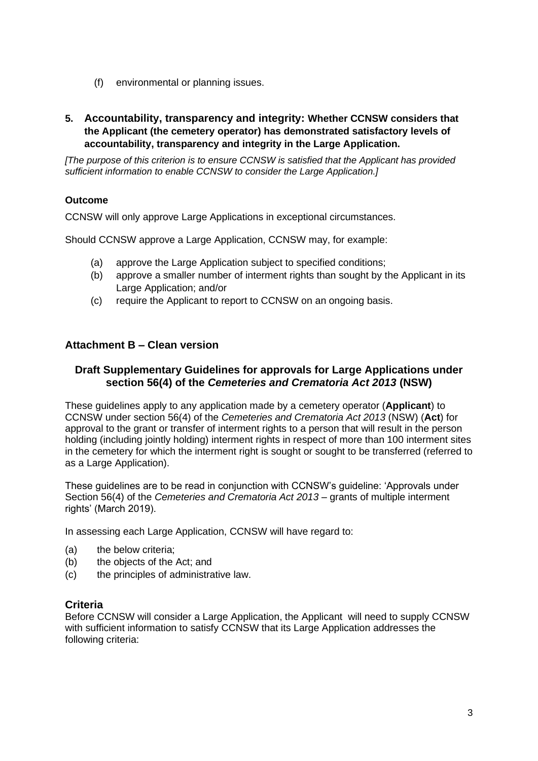(f) environmental or planning issues.

## **5. Accountability, transparency and integrity: Whether CCNSW considers that the Applicant (the cemetery operator) has demonstrated satisfactory levels of accountability, transparency and integrity in the Large Application.**

*[The purpose of this criterion is to ensure CCNSW is satisfied that the Applicant has provided sufficient information to enable CCNSW to consider the Large Application.]*

## **Outcome**

CCNSW will only approve Large Applications in exceptional circumstances.

Should CCNSW approve a Large Application, CCNSW may, for example:

- (a) approve the Large Application subject to specified conditions;
- (b) approve a smaller number of interment rights than sought by the Applicant in its Large Application; and/or
- (c) require the Applicant to report to CCNSW on an ongoing basis.

# **Attachment B – Clean version**

## **Draft Supplementary Guidelines for approvals for Large Applications under section 56(4) of the** *Cemeteries and Crematoria Act 2013* **(NSW)**

These guidelines apply to any application made by a cemetery operator (**Applicant**) to CCNSW under section 56(4) of the *Cemeteries and Crematoria Act 2013* (NSW) (**Act**) for approval to the grant or transfer of interment rights to a person that will result in the person holding (including jointly holding) interment rights in respect of more than 100 interment sites in the cemetery for which the interment right is sought or sought to be transferred (referred to as a Large Application).

These guidelines are to be read in conjunction with CCNSW's guideline: 'Approvals under Section 56(4) of the *Cemeteries and Crematoria Act 2013* – grants of multiple interment rights' (March 2019).

In assessing each Large Application, CCNSW will have regard to:

- (a) the below criteria;
- (b) the objects of the Act; and
- (c) the principles of administrative law.

## **Criteria**

Before CCNSW will consider a Large Application, the Applicant will need to supply CCNSW with sufficient information to satisfy CCNSW that its Large Application addresses the following criteria: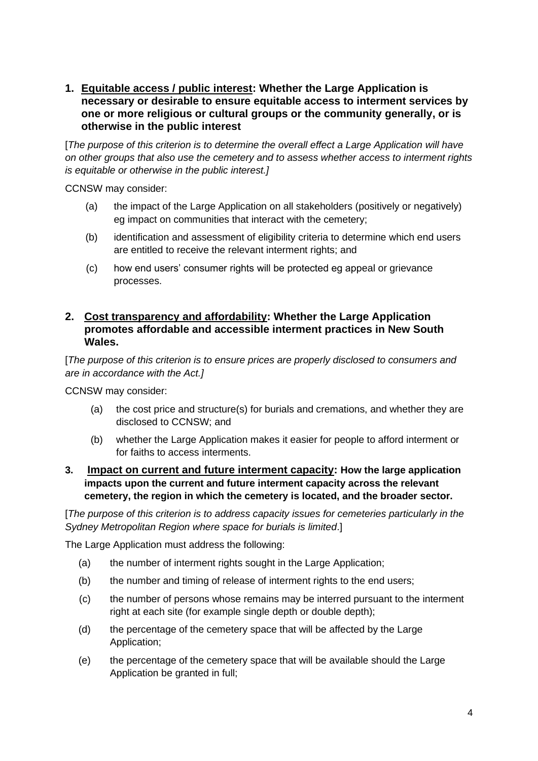**1. Equitable access / public interest: Whether the Large Application is necessary or desirable to ensure equitable access to interment services by one or more religious or cultural groups or the community generally, or is otherwise in the public interest**

[*The purpose of this criterion is to determine the overall effect a Large Application will have on other groups that also use the cemetery and to assess whether access to interment rights is equitable or otherwise in the public interest.]*

CCNSW may consider:

- (a) the impact of the Large Application on all stakeholders (positively or negatively) eg impact on communities that interact with the cemetery;
- (b) identification and assessment of eligibility criteria to determine which end users are entitled to receive the relevant interment rights; and
- (c) how end users' consumer rights will be protected eg appeal or grievance processes.

## **2. Cost transparency and affordability: Whether the Large Application promotes affordable and accessible interment practices in New South Wales.**

[*The purpose of this criterion is to ensure prices are properly disclosed to consumers and are in accordance with the Act.]*

CCNSW may consider:

- (a) the cost price and structure(s) for burials and cremations, and whether they are disclosed to CCNSW; and
- (b) whether the Large Application makes it easier for people to afford interment or for faiths to access interments.
- **3. Impact on current and future interment capacity: How the large application impacts upon the current and future interment capacity across the relevant cemetery, the region in which the cemetery is located, and the broader sector.**

[*The purpose of this criterion is to address capacity issues for cemeteries particularly in the Sydney Metropolitan Region where space for burials is limited*.]

The Large Application must address the following:

- (a) the number of interment rights sought in the Large Application;
- (b) the number and timing of release of interment rights to the end users;
- (c) the number of persons whose remains may be interred pursuant to the interment right at each site (for example single depth or double depth);
- (d) the percentage of the cemetery space that will be affected by the Large Application;
- (e) the percentage of the cemetery space that will be available should the Large Application be granted in full;